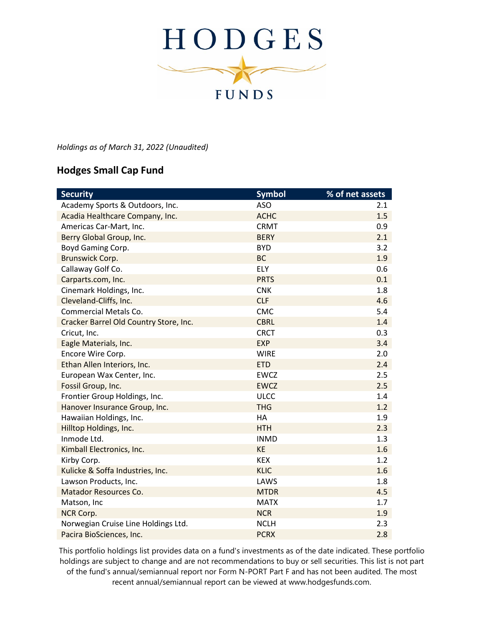

*Holdings as of March 31, 2022 (Unaudited)*

## **Hodges Small Cap Fund**

| <b>Security</b>                        | <b>Symbol</b> | % of net assets |
|----------------------------------------|---------------|-----------------|
| Academy Sports & Outdoors, Inc.        | <b>ASO</b>    | 2.1             |
| Acadia Healthcare Company, Inc.        | <b>ACHC</b>   | 1.5             |
| Americas Car-Mart, Inc.                | <b>CRMT</b>   | 0.9             |
| Berry Global Group, Inc.               | <b>BERY</b>   | 2.1             |
| Boyd Gaming Corp.                      | <b>BYD</b>    | 3.2             |
| Brunswick Corp.                        | <b>BC</b>     | 1.9             |
| Callaway Golf Co.                      | <b>ELY</b>    | 0.6             |
| Carparts.com, Inc.                     | <b>PRTS</b>   | 0.1             |
| Cinemark Holdings, Inc.                | <b>CNK</b>    | 1.8             |
| Cleveland-Cliffs, Inc.                 | <b>CLF</b>    | 4.6             |
| <b>Commercial Metals Co.</b>           | <b>CMC</b>    | 5.4             |
| Cracker Barrel Old Country Store, Inc. | <b>CBRL</b>   | 1.4             |
| Cricut, Inc.                           | <b>CRCT</b>   | 0.3             |
| Eagle Materials, Inc.                  | <b>EXP</b>    | 3.4             |
| Encore Wire Corp.                      | <b>WIRE</b>   | 2.0             |
| Ethan Allen Interiors, Inc.            | <b>ETD</b>    | 2.4             |
| European Wax Center, Inc.              | <b>EWCZ</b>   | 2.5             |
| Fossil Group, Inc.                     | <b>EWCZ</b>   | 2.5             |
| Frontier Group Holdings, Inc.          | <b>ULCC</b>   | 1.4             |
| Hanover Insurance Group, Inc.          | <b>THG</b>    | 1.2             |
| Hawaiian Holdings, Inc.                | HA            | 1.9             |
| Hilltop Holdings, Inc.                 | <b>HTH</b>    | 2.3             |
| Inmode Ltd.                            | <b>INMD</b>   | 1.3             |
| Kimball Electronics, Inc.              | <b>KE</b>     | 1.6             |
| Kirby Corp.                            | <b>KEX</b>    | 1.2             |
| Kulicke & Soffa Industries, Inc.       | <b>KLIC</b>   | 1.6             |
| Lawson Products, Inc.                  | LAWS          | 1.8             |
| Matador Resources Co.                  | <b>MTDR</b>   | 4.5             |
| Matson, Inc                            | <b>MATX</b>   | 1.7             |
| NCR Corp.                              | <b>NCR</b>    | 1.9             |
| Norwegian Cruise Line Holdings Ltd.    | <b>NCLH</b>   | 2.3             |
| Pacira BioSciences, Inc.               | <b>PCRX</b>   | 2.8             |

This portfolio holdings list provides data on a fund's investments as of the date indicated. These portfolio holdings are subject to change and are not recommendations to buy or sell securities. This list is not part of the fund's annual/semiannual report nor Form N-PORT Part F and has not been audited. The most recent annual/semiannual report can be viewed at www.hodgesfunds.com.